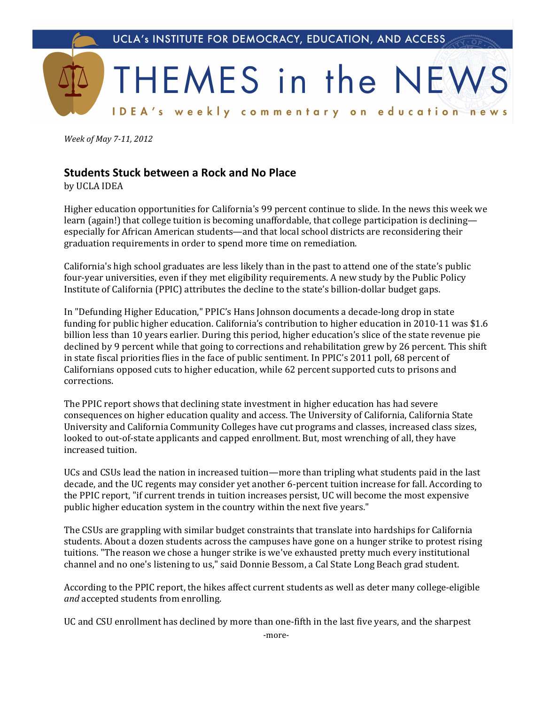

*Week of May 7-11, 2012* 

## **Students Stuck between a Rock and No Place**

by UCLA IDEA

Higher education opportunities for California's 99 percent continue to slide. In the news this week we learn (again!) that college tuition is becoming unaffordable, that college participation is declining especially for African American students—and that local school districts are reconsidering their graduation requirements in order to spend more time on remediation.

California's high school graduates are less likely than in the past to attend one of the state's public four-year universities, even if they met eligibility requirements. A new study by the Public Policy Institute of California (PPIC) attributes the decline to the state's billion-dollar budget gaps.

In "Defunding Higher Education," PPIC's Hans Johnson documents a decade-long drop in state funding for public higher education. California's contribution to higher education in 2010-11 was \$1.6 billion less than 10 years earlier. During this period, higher education's slice of the state revenue pie declined by 9 percent while that going to corrections and rehabilitation grew by 26 percent. This shift in state fiscal priorities flies in the face of public sentiment. In PPIC's 2011 poll, 68 percent of Californians opposed cuts to higher education, while 62 percent supported cuts to prisons and corrections.

The PPIC report shows that declining state investment in higher education has had severe consequences on higher education quality and access. The University of California, California State University and California Community Colleges have cut programs and classes, increased class sizes, looked to out-of-state applicants and capped enrollment. But, most wrenching of all, they have increased tuition.

UCs and CSUs lead the nation in increased tuition—more than tripling what students paid in the last decade, and the UC regents may consider yet another 6-percent tuition increase for fall. According to the PPIC report, "if current trends in tuition increases persist, UC will become the most expensive public higher education system in the country within the next five years."

The CSUs are grappling with similar budget constraints that translate into hardships for California students. About a dozen students across the campuses have gone on a hunger strike to protest rising tuitions. "The reason we chose a hunger strike is we've exhausted pretty much every institutional channel and no one's listening to us," said Donnie Bessom, a Cal State Long Beach grad student.

According to the PPIC report, the hikes affect current students as well as deter many college-eligible *and* accepted students from enrolling.

UC and CSU enrollment has declined by more than one-fifth in the last five years, and the sharpest